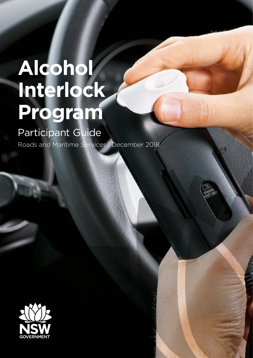# **Alcohol Interlock Program**

## Participant Guide

Roads and Maritime Services | December 2018

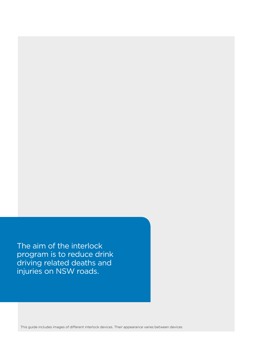The aim of the interlock program is to reduce drink driving related deaths and injuries on NSW roads.

This guide includes images of different interlock devices. Their appearance varies between devices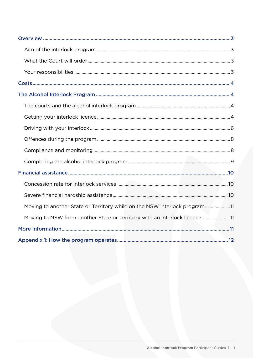| Moving to another State or Territory while on the NSW interlock program11 |  |
|---------------------------------------------------------------------------|--|
| Moving to NSW from another State or Territory with an interlock licence11 |  |
|                                                                           |  |
|                                                                           |  |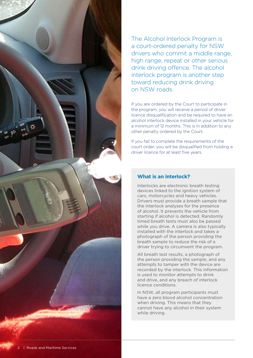

The Alcohol Interlock Program is a court-ordered penalty for NSW drivers who commit a middle range, high range, repeat or other serious drink driving offence. The alcohol interlock program is another step toward reducing drink driving on NSW roads.

If you are ordered by the Court to participate in the program, you will receive a period of driver licence disqualification and be required to have an alcohol interlock device installed in your vehicle for a minimum of 12 months. This is in addition to any other penalty ordered by the Court.

If you fail to complete the requirements of the court order, you will be disqualified from holding a driver licence for at least five years.

#### **What is an interlock?**

Interlocks are electronic breath testing devices linked to the ignition system of cars, motorcycles and heavy vehicles. Drivers must provide a breath sample that the interlock analyses for the presence of alcohol. It prevents the vehicle from starting if alcohol is detected. Randomly timed breath tests must also be passed while you drive. A camera is also typically installed with the interlock and takes a photograph of the person providing the breath sample to reduce the risk of a driver trying to circumvent the program.

All breath test results, a photograph of the person providing the sample, and any attempts to tamper with the device are recorded by the interlock. This information is used to monitor attempts to drink and drive, and any breach of interlock licence conditions.

In NSW, all program participants must have a zero blood alcohol concentration when driving. This means that they cannot have any alcohol in their system while driving.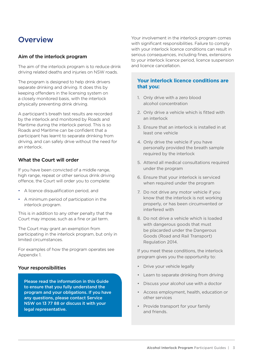## <span id="page-4-0"></span>**Overview**

#### Aim of the interlock program

The aim of the interlock program is to reduce drink driving related deaths and injuries on NSW roads.

The program is designed to help drink drivers separate drinking and driving. It does this by keeping offenders in the licensing system on a closely monitored basis, with the interlock physically preventing drink driving.

A participant's breath test results are recorded by the interlock and monitored by Roads and Maritime during the interlock period. This is so Roads and Maritime can be confident that a participant has learnt to separate drinking from driving, and can safely drive without the need for an interlock.

#### What the Court will order

If you have been convicted of a middle range, high range, repeat or other serious drink driving offence, the Court will order you to complete:

- A licence disqualification period, and
- A minimum period of participation in the interlock program.

This is in addition to any other penalty that the Court may impose, such as a fine or jail term.

The Court may grant an exemption from participating in the interlock program, but only in limited circumstances.

For examples of how the program operates see Appendix 1.

#### Your responsibilities

Please read the information in this Guide to ensure that you fully understand the program and your obligations. If you have any questions, please contact Service NSW on 13 77 88 or discuss it with your legal representative.

Your involvement in the interlock program comes with significant responsibilities. Failure to comply with your interlock licence conditions can result in serious consequences, including fines, extensions to your interlock licence period, licence suspension and licence cancellation.

#### **Your interlock licence conditions are that you:**

- 1. Only drive with a zero blood alcohol concentration
- 2. Only drive a vehicle which is fitted with an interlock
- 3. Ensure that an interlock is installed in at least one vehicle
- 4. Only drive the vehicle if you have personally provided the breath sample required by the interlock
- 5. Attend all medical consultations required under the program
- 6. Ensure that your interlock is serviced when required under the program
- 7. Do not drive any motor vehicle if you know that the interlock is not working properly, or has been circumvented or interfered with
- 8. Do not drive a vehicle which is loaded with dangerous goods that must be placarded under the Dangerous Goods (Road and Rail Transport) Regulation 2014.

If you meet these conditions, the interlock program gives you the opportunity to:

- Drive your vehicle legally
- Learn to separate drinking from driving
- Discuss your alcohol use with a doctor
- Access employment, health, education or other services
- Provide transport for your family and friends.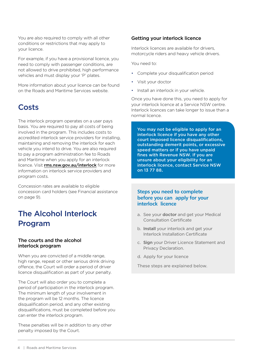<span id="page-5-0"></span>You are also required to comply with all other conditions or restrictions that may apply to your licence.

For example, if you have a provisional licence, you need to comply with passenger conditions, are not allowed to drive prohibited, high performance vehicles and must display your 'P' plates.

More information about your licence can be found on the Roads and Maritime Services website.

## **Costs**

The interlock program operates on a user pays basis. You are required to pay all costs of being involved in the program. This includes costs to accredited interlock service providers for installing, maintaining and removing the interlock for each vehicle you intend to drive. You are also required to pay a program administration fee to Roads and Maritime when you apply for an interlock licence. Visit <rms.nsw.gov.au/interlock> for more information on interlock service providers and program costs.

Concession rates are available to eligible concession card holders (see Financial assistance on page 9).

## The Alcohol Interlock Program

#### The courts and the alcohol interlock program

When you are convicted of a middle range, high range, repeat or other serious drink driving offence, the Court will order a period of driver licence disqualification as part of your penalty.

The Court will also order you to complete a period of participation in the interlock program. The minimum length of your involvement in the program will be 12 months. The licence disqualification period, and any other existing disqualifications, must be completed before you can enter the interlock program.

These penalties will be in addition to any other penalty imposed by the Court.

#### Getting your interlock licence

Interlock licences are available for drivers, motorcycle riders and heavy vehicle drivers.

You need to:

- Complete your disqualification period
- Visit your doctor
- Install an interlock in your vehicle.

Once you have done this, you need to apply for your interlock licence at a Service NSW centre. Interlock licences can take longer to issue than a normal licence.

You may not be eligible to apply for an interlock licence if you have any other court imposed licence disqualifications, outstanding demerit points, or excessive speed matters or if you have unpaid fines with Revenue NSW. If you are unsure about your eligibility for an interlock licence, contact Service NSW on 13 77 88**.**

#### Steps you need to complete before you can apply for your interlock licence

- a. See your doctor and get your Medical Consultation Certificate
- b. Install your interlock and get your Interlock Installation Certificate
- c. Sign your Driver Licence Statement and Privacy Declaration.
- d. Apply for your licence

These steps are explained below.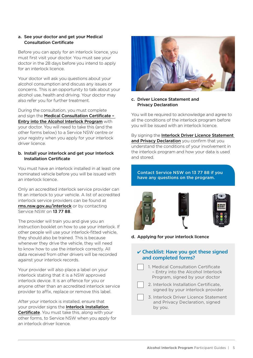#### a. See your doctor and get your Medical Consultation Certificate

Before you can apply for an interlock licence, you must first visit your doctor. You must see your doctor in the 28 days before you intend to apply for an interlock licence.

Your doctor will ask you questions about your alcohol consumption and discuss any issues or concerns. This is an opportunity to talk about your alcohol use, health and driving. Your doctor may also refer you for further treatment.

During the consultation, you must complete and sign the [Medical Consultation Certificate –](https://www.rms.nsw.gov.au/documents/about/forms/45071885-interlock-medical-consulation-certifcate.pdf)  [Entry into the Alcohol Interlock Program](https://www.rms.nsw.gov.au/documents/about/forms/45071885-interlock-medical-consulation-certifcate.pdf) with your doctor. You will need to take this (and the other forms below) to a Service NSW centre or your registry when you apply for your interlock driver licence.

#### b. Install your interlock and get your Interlock Installation Certificate

You must have an interlock installed in at least one nominated vehicle before you will be issued with an interlock licence.

Only an accredited interlock service provider can fit an interlock to your vehicle. A list of accredited interlock service providers can be found at <rms.nsw.gov.au/interlock> or by contacting Service NSW on 13 77 88.

The provider will train you and give you an instruction booklet on how to use your interlock. If other people will use your interlock-fitted vehicle, they should also be trained. This is because whenever they drive the vehicle, they will need to know how to use the interlock correctly. All data received from other drivers will be recorded against your interlock records.

Your provider will also place a label on your interlock stating that it is a NSW approved interlock device. It is an offence for you or anyone other than an accredited interlock service provider to affix, replace or remove this label.

After your interlock is installed, ensure that your provider signs the Interlock Installation **[Certificate](https://www.rms.nsw.gov.au/documents/about/forms/45071886-interlock-installation-certificate.pdf)**. You must take this, along with your other forms, to Service NSW when you apply for an interlock driver licence.



#### c. Driver Licence Statement and Privacy Declaration

You will be required to acknowledge and agree to all the conditions of the interlock program before you will be issued with an interlock licence.

By signing the Interlock Driver Licence Statement [and Privacy Declaration](https://www.rms.nsw.gov.au/documents/about/forms/45071887-interlock-driver-licence-statement-declaration.pdf) you confirm that you understand the conditions of your involvement in the interlock program and how your data is used and stored.

#### Contact Service NSW on 13 77 88 if you have any questions on the program.







d. Applying for your interlock licence

#### $\vee$  Checklist: Have you got these signed and completed forms?

 1. Medical Consultation Certificate – Entry into the Alcohol Interlock Program, signed by your doctor

- 2. Interlock Installation Certificate, signed by your interlock provider
- 3. Interlock Driver Licence Statement and Privacy Declaration, signed by you.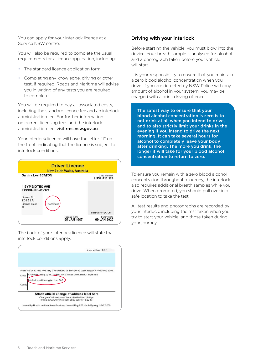<span id="page-7-0"></span>You can apply for your interlock licence at a Service NSW centre.

You will also be required to complete the usual requirements for a licence application, including:

- The standard licence application form
- Completing any knowledge, driving or other test, if required. Roads and Maritime will advise you in writing of any tests you are required to complete.

You will be required to pay all associated costs, including the standard licence fee and an interlock administration fee. For further information on current licensing fees and the interlock administration fee, visit <rms.nsw.gov.au>.

Your interlock licence will have the letter "I" on the front, indicating that the licence is subject to interlock conditions.



The back of your interlock licence will state that interlock conditions apply.



#### Driving with your interlock

Before starting the vehicle, you must blow into the device. Your breath sample is analysed for alcohol and a photograph taken before your vehicle will start.

It is your responsibility to ensure that you maintain a zero blood alcohol concentration when you drive. If you are detected by NSW Police with any amount of alcohol in your system, you may be charged with a drink driving offence.

The safest way to ensure that your blood alcohol concentration is zero is to not drink at all when you intend to drive, and to also strictly limit your drinks in the evening if you intend to drive the next morning. It can take several hours for alcohol to completely leave your body after drinking. The more you drink, the longer it will take for your blood alcohol concentration to return to zero.

To ensure you remain with a zero blood alcohol concentration throughout a journey, the interlock also requires additional breath samples while you drive. When prompted, you should pull over in a safe location to take the test.

All test results and photographs are recorded by your interlock, including the test taken when you try to start your vehicle, and those taken during your journey.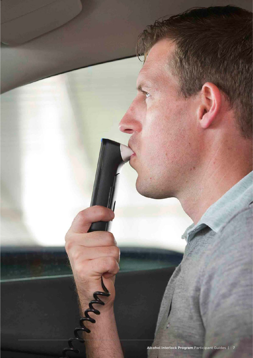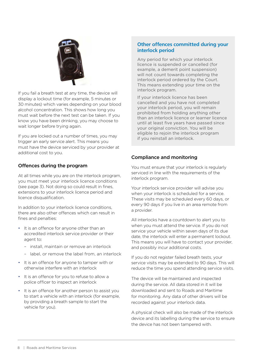<span id="page-9-0"></span>

If you fail a breath test at any time, the device will display a lockout time (for example, 5 minutes or 30 minutes) which varies depending on your blood alcohol concentration. This shows how long you must wait before the next test can be taken. If you know you have been drinking, you may choose to wait longer before trying again.

If you are locked out a number of times, you may trigger an early service alert. This means you must have the device serviced by your provider at additional cost to you.

#### Offences during the program

At all times while you are on the interlock program, you must meet your interlock licence conditions (see page 3). Not doing so could result in fines, extensions to your interlock licence period and licence disqualification.

In addition to your interlock licence conditions, there are also other offences which can result in fines and penalties:

- It is an offence for anyone other than an accredited interlock service provider or their agent to:
	- install, maintain or remove an interlock
	- label, or remove the label from, an interlock
- It is an offence for anyone to tamper with or otherwise interfere with an interlock
- It is an offence for you to refuse to allow a police officer to inspect an interlock
- It is an offence for another person to assist you to start a vehicle with an interlock (for example, by providing a breath sample to start the vehicle for you).

#### Other offences committed during your interlock period

Any period for which your interlock licence is suspended or cancelled (for example, a demerit point suspension) will not count towards completing the interlock period ordered by the Court. This means extending your time on the interlock program.

If your interlock licence has been cancelled and you have not completed your interlock period, you will remain prohibited from holding anything other than an interlock licence or learner licence until at least five years have passed since your original conviction. You will be eligible to rejoin the interlock program if you reinstall an interlock.

#### Compliance and monitoring

You must ensure that your interlock is regularly serviced in line with the requirements of the interlock program.

Your interlock service provider will advise you when your interlock is scheduled for a service. These visits may be scheduled every 60 days, or every 90 days if you live in an area remote from a provider.

All interlocks have a countdown to alert you to when you must attend the service. If you do not service your vehicle within seven days of its due date, the interlock will enter a permanent lockout. This means you will have to contact your provider, and possibly incur additional costs.

If you do not register failed breath tests, your service visits may be extended to 90 days. This will reduce the time you spend attending service visits.

The device will be maintained and inspected during the service. All data stored in it will be downloaded and sent to Roads and Maritime for monitoring. Any data of other drivers will be recorded against your interlock data.

A physical check will also be made of the interlock device and its labelling during the service to ensure the device has not been tampered with.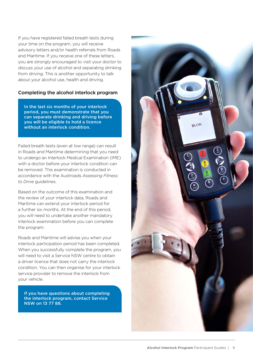<span id="page-10-0"></span>If you have registered failed breath tests during your time on the program, you will receive advisory letters and/or health referrals from Roads and Maritime. If you receive one of these letters, you are strongly encouraged to visit your doctor to discuss your use of alcohol and separating drinking from driving. This is another opportunity to talk about your alcohol use, health and driving.

#### Completing the alcohol interlock program

In the last six months of your interlock period, you must demonstrate that you can separate drinking and driving before you will be eligible to hold a licence without an interlock condition.

Failed breath tests (even at low range) can result in Roads and Maritime determining that you need to undergo an Interlock Medical Examination (IME) with a doctor before your interlock condition can be removed. This examination is conducted in accordance with the Austroads *Assessing Fitness to Drive* guidelines.

Based on the outcome of this examination and the review of your interlock data, Roads and Maritime can extend your interlock period for a further six months. At the end of this period, you will need to undertake another mandatory interlock examination before you can complete the program.

Roads and Maritime will advise you when your interlock participation period has been completed. When you successfully complete the program, you will need to visit a Service NSW centre to obtain a driver licence that does not carry the interlock condition. You can then organise for your interlock service provider to remove the interlock from your vehicle.

If you have questions about completing the interlock program, contact Service NSW on 13 77 88.

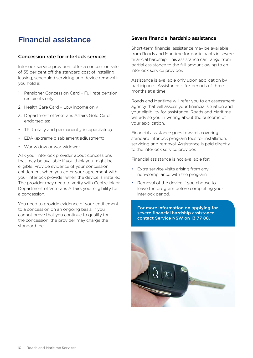## <span id="page-11-0"></span>Financial assistance

#### Concession rate for interlock services

Interlock service providers offer a concession rate of 35 per cent off the standard cost of installing, leasing, scheduled servicing and device removal if you hold a:

- 1. Pensioner Concession Card Full rate pension recipients only
- 2. Health Care Card Low income only
- 3. Department of Veterans Affairs Gold Card endorsed as:
- TPI (totally and permanently incapacitated)
- EDA (extreme disablement adjustment)
- War widow or war widower.

Ask your interlock provider about concessions that may be available if you think you might be eligible. Provide evidence of your concession entitlement when you enter your agreement with your interlock provider when the device is installed. The provider may need to verify with Centrelink or Department of Veterans Affairs your eligibility for a concession.

You need to provide evidence of your entitlement to a concession on an ongoing basis. If you cannot prove that you continue to qualify for the concession, the provider may charge the standard fee.

#### Severe financial hardship assistance

Short-term financial assistance may be available from Roads and Maritime for participants in severe financial hardship. This assistance can range from partial assistance to the full amount owing to an interlock service provider.

Assistance is available only upon application by participants. Assistance is for periods of three months at a time.

Roads and Maritime will refer you to an assessment agency that will assess your financial situation and your eligibility for assistance. Roads and Maritime will advise you in writing about the outcome of your application.

Financial assistance goes towards covering standard interlock program fees for installation, servicing and removal. Assistance is paid directly to the interlock service provider.

Financial assistance is not available for:

- Extra service visits arising from any non‑compliance with the program
- Removal of the device if you choose to leave the program before completing your interlock period.

For more information on applying for severe financial hardship assistance, contact Service NSW on 13 77 88.

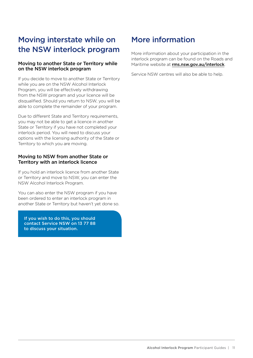## <span id="page-12-0"></span>Moving interstate while on the NSW interlock program

#### Moving to another State or Territory while on the NSW interlock program

If you decide to move to another State or Territory while you are on the NSW Alcohol Interlock Program, you will be effectively withdrawing from the NSW program and your licence will be disqualified. Should you return to NSW, you will be able to complete the remainder of your program.

Due to different State and Territory requirements, you may not be able to get a licence in another State or Territory if you have not completed your interlock period. You will need to discuss your options with the licensing authority of the State or Territory to which you are moving.

#### Moving to NSW from another State or Territory with an interlock licence

If you hold an interlock licence from another State or Territory and move to NSW, you can enter the NSW Alcohol Interlock Program.

You can also enter the NSW program if you have been ordered to enter an interlock program in another State or Territory but haven't yet done so.

If you wish to do this, you should contact Service NSW on 13 77 88 to discuss your situation.

## More information

More information about your participation in the interlock program can be found on the Roads and Maritime website at <rms.nsw.gov.au/interlock>.

Service NSW centres will also be able to help.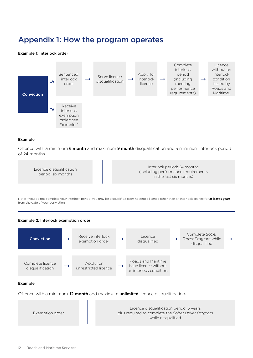## <span id="page-13-0"></span>Appendix 1: How the program operates

#### Example 1: Interlock order



#### Example

Offence with a minimum 6 month and maximum 9 month disqualification and a minimum interlock period of 24 months.



Note: If you do not complete your interlock period, you may be disqualified from holding a licence other than an interlock licence for at least 5 years from the date of your conviction.

#### Example 2: Interlock exemption order



#### Example

Offence with a minimum 12 month and maximum unlimited licence disqualification.